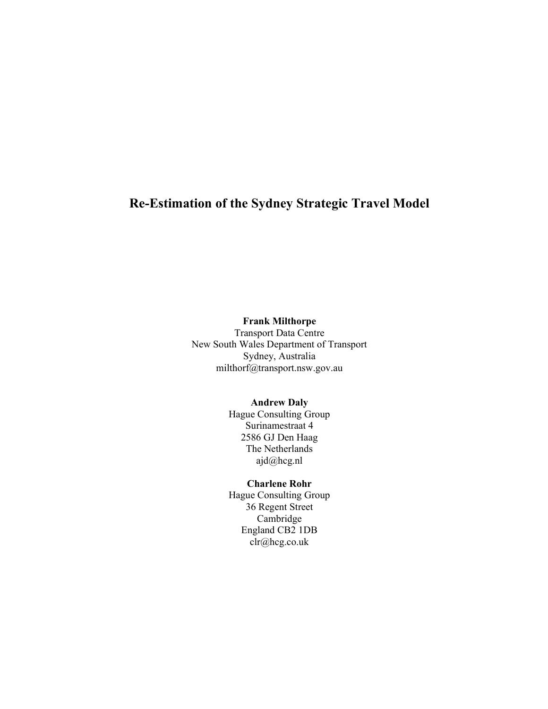## Re-Estimation of the Sydney Strategic Travel Model

## Frank Milthorpe

Transport Data Centre New South Wales Department of Transport Sydney, Australia milthorf@transport.nsw.gov.au

#### Andrew Daly

Hague Consulting Group Surinamestraat 4 2586 GJ Den Haag The Netherlands ajd@hcg.nl

## Charlene Rohr

Hague Consulting Group 36 Regent Street Cambridge England CB2 1DB clr@hcg.co.uk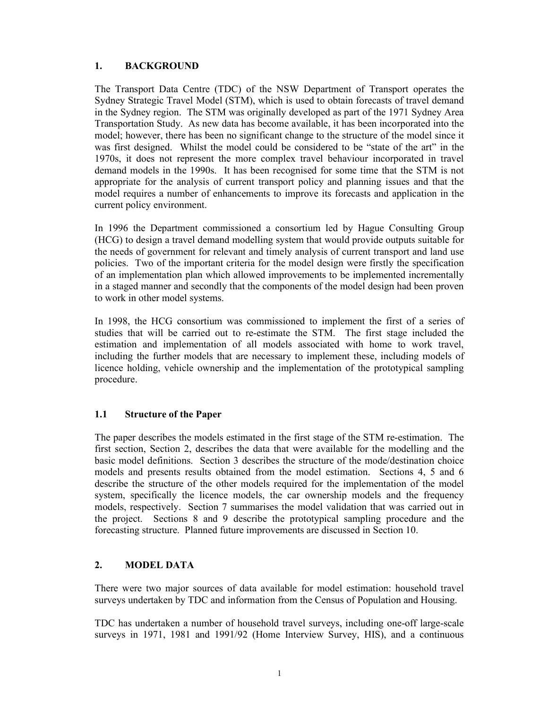## 1. BACKGROUND

The Transport Data Centre (TDC) of the NSW Department of Transport operates the Sydney Strategic Travel Model (STM), which is used to obtain forecasts of travel demand in the Sydney region. The STM was originally developed as part of the 1971 Sydney Area Transportation Study. As new data has become available, it has been incorporated into the model; however, there has been no significant change to the structure of the model since it was first designed. Whilst the model could be considered to be "state of the art" in the 1970s, it does not represent the more complex travel behaviour incorporated in travel demand models in the 1990s. It has been recognised for some time that the STM is not appropriate for the analysis of current transport policy and planning issues and that the model requires a number of enhancements to improve its forecasts and application in the current policy environment.

In 1996 the Department commissioned a consortium led by Hague Consulting Group (HCG) to design a travel demand modelling system that would provide outputs suitable for the needs of government for relevant and timely analysis of current transport and land use policies. Two of the important criteria for the model design were firstly the specification of an implementation plan which allowed improvements to be implemented incrementally in a staged manner and secondly that the components of the model design had been proven to work in other model systems.

In 1998, the HCG consortium was commissioned to implement the first of a series of studies that will be carried out to re-estimate the STM. The first stage included the estimation and implementation of all models associated with home to work travel, including the further models that are necessary to implement these, including models of licence holding, vehicle ownership and the implementation of the prototypical sampling procedure.

#### 1.1 Structure of the Paper

The paper describes the models estimated in the first stage of the STM re-estimation. The first section, Section 2, describes the data that were available for the modelling and the basic model definitions. Section 3 describes the structure of the mode/destination choice models and presents results obtained from the model estimation. Sections 4, 5 and 6 describe the structure of the other models required for the implementation of the model system, specifically the licence models, the car ownership models and the frequency models, respectively. Section 7 summarises the model validation that was carried out in the project. Sections 8 and 9 describe the prototypical sampling procedure and the forecasting structure. Planned future improvements are discussed in Section 10.

#### 2. MODEL DATA

There were two major sources of data available for model estimation: household travel surveys undertaken by TDC and information from the Census of Population and Housing.

TDC has undertaken a number of household travel surveys, including one-off large-scale surveys in 1971, 1981 and 1991/92 (Home Interview Survey, HIS), and a continuous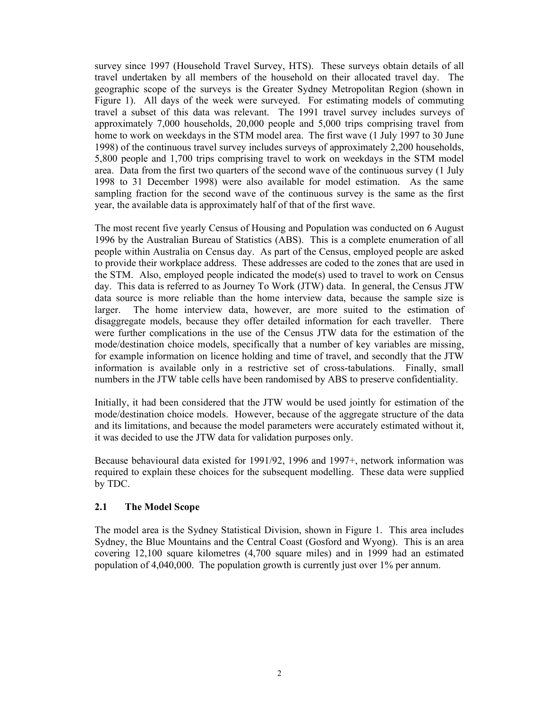survey since 1997 (Household Travel Survey, HTS). These surveys obtain details of all travel undertaken by all members of the household on their allocated travel day. The geographic scope of the surveys is the Greater Sydney Metropolitan Region (shown in Figure 1). All days of the week were surveyed. For estimating models of commuting travel a subset of this data was relevant. The 1991 travel survey includes surveys of approximately 7,000 households, 20,000 people and 5,000 trips comprising travel from home to work on weekdays in the STM model area. The first wave (1 July 1997 to 30 June 1998) of the continuous travel survey includes surveys of approximately 2,200 households, 5,800 people and 1,700 trips comprising travel to work on weekdays in the STM model area. Data from the first two quarters of the second wave of the continuous survey (1 July 1998 to 31 December 1998) were also available for model estimation. As the same sampling fraction for the second wave of the continuous survey is the same as the first year, the available data is approximately half of that of the first wave.

The most recent five yearly Census of Housing and Population was conducted on 6 August 1996 by the Australian Bureau of Statistics (ABS). This is a complete enumeration of all people within Australia on Census day. As part of the Census, employed people are asked to provide their workplace address. These addresses are coded to the zones that are used in the STM. Also, employed people indicated the mode(s) used to travel to work on Census day. This data is referred to as Journey To Work (JTW) data. In general, the Census JTW data source is more reliable than the home interview data, because the sample size is larger. The home interview data, however, are more suited to the estimation of disaggregate models, because they offer detailed information for each traveller. There were further complications in the use of the Census JTW data for the estimation of the mode/destination choice models, specifically that a number of key variables are missing, for example information on licence holding and time of travel, and secondly that the JTW information is available only in a restrictive set of cross-tabulations. Finally, small numbers in the JTW table cells have been randomised by ABS to preserve confidentiality.

Initially, it had been considered that the JTW would be used jointly for estimation of the mode/destination choice models. However, because of the aggregate structure of the data and its limitations, and because the model parameters were accurately estimated without it, it was decided to use the JTW data for validation purposes only.

Because behavioural data existed for 1991/92, 1996 and 1997+, network information was required to explain these choices for the subsequent modelling. These data were supplied by TDC.

#### 2.1 The Model Scope

The model area is the Sydney Statistical Division, shown in Figure 1. This area includes Sydney, the Blue Mountains and the Central Coast (Gosford and Wyong). This is an area covering 12,100 square kilometres (4,700 square miles) and in 1999 had an estimated population of 4,040,000. The population growth is currently just over 1% per annum.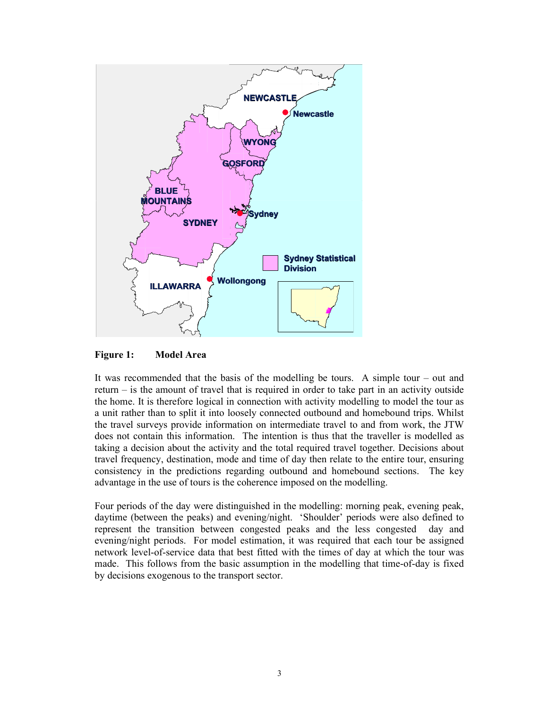

Figure 1: Model Area

It was recommended that the basis of the modelling be tours. A simple tour – out and return – is the amount of travel that is required in order to take part in an activity outside the home. It is therefore logical in connection with activity modelling to model the tour as a unit rather than to split it into loosely connected outbound and homebound trips. Whilst the travel surveys provide information on intermediate travel to and from work, the JTW does not contain this information. The intention is thus that the traveller is modelled as taking a decision about the activity and the total required travel together. Decisions about travel frequency, destination, mode and time of day then relate to the entire tour, ensuring consistency in the predictions regarding outbound and homebound sections. The key advantage in the use of tours is the coherence imposed on the modelling.

Four periods of the day were distinguished in the modelling: morning peak, evening peak, daytime (between the peaks) and evening/night. 'Shoulder' periods were also defined to represent the transition between congested peaks and the less congested day and evening/night periods. For model estimation, it was required that each tour be assigned network level-of-service data that best fitted with the times of day at which the tour was made. This follows from the basic assumption in the modelling that time-of-day is fixed by decisions exogenous to the transport sector.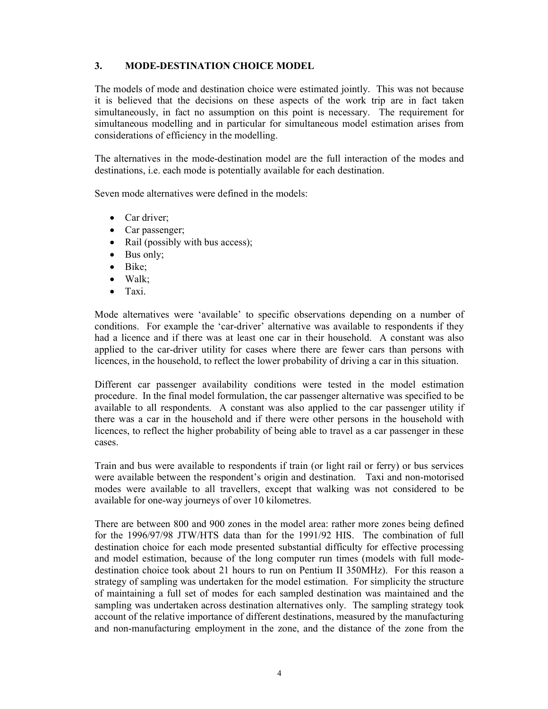## 3. MODE-DESTINATION CHOICE MODEL

The models of mode and destination choice were estimated jointly. This was not because it is believed that the decisions on these aspects of the work trip are in fact taken simultaneously, in fact no assumption on this point is necessary. The requirement for simultaneous modelling and in particular for simultaneous model estimation arises from considerations of efficiency in the modelling.

The alternatives in the mode-destination model are the full interaction of the modes and destinations, i.e. each mode is potentially available for each destination.

Seven mode alternatives were defined in the models:

- Car driver:
- Car passenger;
- Rail (possibly with bus access);
- Bus only;
- Bike;
- Walk;
- Taxi.

Mode alternatives were 'available' to specific observations depending on a number of conditions. For example the 'car-driver' alternative was available to respondents if they had a licence and if there was at least one car in their household. A constant was also applied to the car-driver utility for cases where there are fewer cars than persons with licences, in the household, to reflect the lower probability of driving a car in this situation.

Different car passenger availability conditions were tested in the model estimation procedure. In the final model formulation, the car passenger alternative was specified to be available to all respondents. A constant was also applied to the car passenger utility if there was a car in the household and if there were other persons in the household with licences, to reflect the higher probability of being able to travel as a car passenger in these cases.

Train and bus were available to respondents if train (or light rail or ferry) or bus services were available between the respondent's origin and destination. Taxi and non-motorised modes were available to all travellers, except that walking was not considered to be available for one-way journeys of over 10 kilometres.

There are between 800 and 900 zones in the model area: rather more zones being defined for the 1996/97/98 JTW/HTS data than for the 1991/92 HIS. The combination of full destination choice for each mode presented substantial difficulty for effective processing and model estimation, because of the long computer run times (models with full modedestination choice took about 21 hours to run on Pentium II 350MHz). For this reason a strategy of sampling was undertaken for the model estimation. For simplicity the structure of maintaining a full set of modes for each sampled destination was maintained and the sampling was undertaken across destination alternatives only. The sampling strategy took account of the relative importance of different destinations, measured by the manufacturing and non-manufacturing employment in the zone, and the distance of the zone from the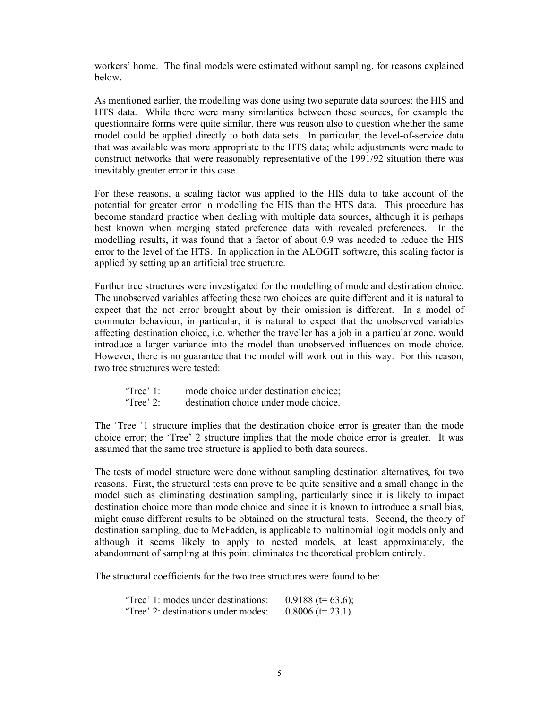workers' home. The final models were estimated without sampling, for reasons explained below.

As mentioned earlier, the modelling was done using two separate data sources: the HIS and HTS data. While there were many similarities between these sources, for example the questionnaire forms were quite similar, there was reason also to question whether the same model could be applied directly to both data sets. In particular, the level-of-service data that was available was more appropriate to the HTS data; while adjustments were made to construct networks that were reasonably representative of the 1991/92 situation there was inevitably greater error in this case.

For these reasons, a scaling factor was applied to the HIS data to take account of the potential for greater error in modelling the HIS than the HTS data. This procedure has become standard practice when dealing with multiple data sources, although it is perhaps best known when merging stated preference data with revealed preferences. In the modelling results, it was found that a factor of about 0.9 was needed to reduce the HIS error to the level of the HTS. In application in the ALOGIT software, this scaling factor is applied by setting up an artificial tree structure.

Further tree structures were investigated for the modelling of mode and destination choice. The unobserved variables affecting these two choices are quite different and it is natural to expect that the net error brought about by their omission is different. In a model of commuter behaviour, in particular, it is natural to expect that the unobserved variables affecting destination choice, i.e. whether the traveller has a job in a particular zone, would introduce a larger variance into the model than unobserved influences on mode choice. However, there is no guarantee that the model will work out in this way. For this reason, two tree structures were tested:

| $Tree'$ 1:         | mode choice under destination choice; |
|--------------------|---------------------------------------|
| $\text{`Tree'}$ 2: | destination choice under mode choice. |

The 'Tree '1 structure implies that the destination choice error is greater than the mode choice error; the 'Tree' 2 structure implies that the mode choice error is greater. It was assumed that the same tree structure is applied to both data sources.

The tests of model structure were done without sampling destination alternatives, for two reasons. First, the structural tests can prove to be quite sensitive and a small change in the model such as eliminating destination sampling, particularly since it is likely to impact destination choice more than mode choice and since it is known to introduce a small bias, might cause different results to be obtained on the structural tests. Second, the theory of destination sampling, due to McFadden, is applicable to multinomial logit models only and although it seems likely to apply to nested models, at least approximately, the abandonment of sampling at this point eliminates the theoretical problem entirely.

The structural coefficients for the two tree structures were found to be:

| 'Tree' 1: modes under destinations: | 0.9188 (t= 63.6);   |
|-------------------------------------|---------------------|
| 'Tree' 2: destinations under modes: | $0.8006$ (t= 23.1). |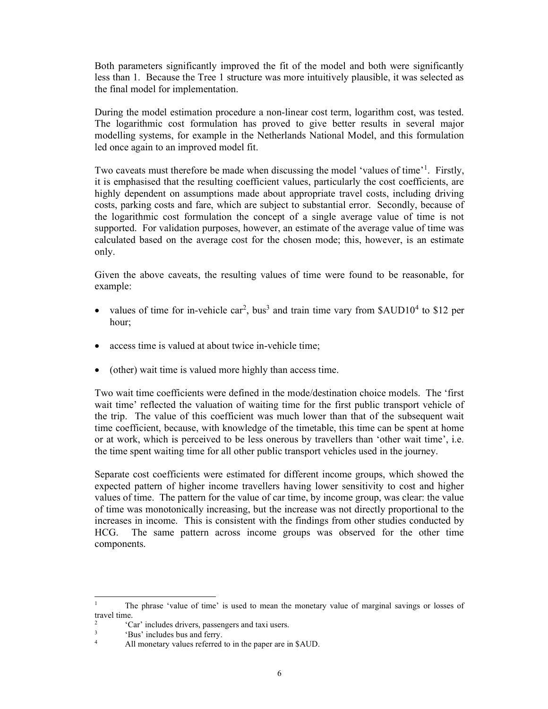Both parameters significantly improved the fit of the model and both were significantly less than 1. Because the Tree 1 structure was more intuitively plausible, it was selected as the final model for implementation.

During the model estimation procedure a non-linear cost term, logarithm cost, was tested. The logarithmic cost formulation has proved to give better results in several major modelling systems, for example in the Netherlands National Model, and this formulation led once again to an improved model fit.

Two caveats must therefore be made when discussing the model 'values of time'<sup>1</sup>. Firstly, it is emphasised that the resulting coefficient values, particularly the cost coefficients, are highly dependent on assumptions made about appropriate travel costs, including driving costs, parking costs and fare, which are subject to substantial error. Secondly, because of the logarithmic cost formulation the concept of a single average value of time is not supported. For validation purposes, however, an estimate of the average value of time was calculated based on the average cost for the chosen mode; this, however, is an estimate only.

Given the above caveats, the resulting values of time were found to be reasonable, for example:

- values of time for in-vehicle car<sup>2</sup>, bus<sup>3</sup> and train time vary from \$AUD10<sup>4</sup> to \$12 per hour;
- access time is valued at about twice in-vehicle time;
- (other) wait time is valued more highly than access time.

Two wait time coefficients were defined in the mode/destination choice models. The 'first wait time' reflected the valuation of waiting time for the first public transport vehicle of the trip. The value of this coefficient was much lower than that of the subsequent wait time coefficient, because, with knowledge of the timetable, this time can be spent at home or at work, which is perceived to be less onerous by travellers than 'other wait time', i.e. the time spent waiting time for all other public transport vehicles used in the journey.

Separate cost coefficients were estimated for different income groups, which showed the expected pattern of higher income travellers having lower sensitivity to cost and higher values of time. The pattern for the value of car time, by income group, was clear: the value of time was monotonically increasing, but the increase was not directly proportional to the increases in income. This is consistent with the findings from other studies conducted by HCG. The same pattern across income groups was observed for the other time components.

<sup>1</sup> The phrase 'value of time' is used to mean the monetary value of marginal savings or losses of travel time.

 $\mathcal{L}$ 'Car' includes drivers, passengers and taxi users.

<sup>3</sup> 'Bus' includes bus and ferry.

<sup>4</sup> All monetary values referred to in the paper are in \$AUD.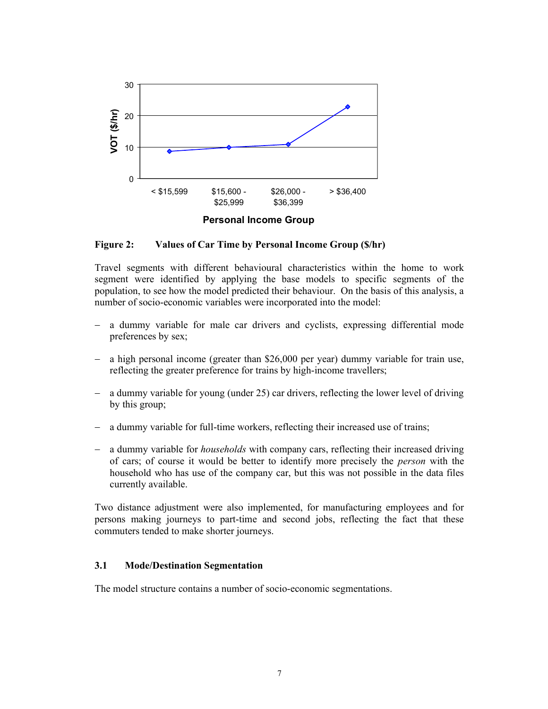

Figure 2: Values of Car Time by Personal Income Group (\$/hr)

Travel segments with different behavioural characteristics within the home to work segment were identified by applying the base models to specific segments of the population, to see how the model predicted their behaviour. On the basis of this analysis, a number of socio-economic variables were incorporated into the model:

- a dummy variable for male car drivers and cyclists, expressing differential mode preferences by sex;
- a high personal income (greater than \$26,000 per year) dummy variable for train use, reflecting the greater preference for trains by high-income travellers;
- a dummy variable for young (under 25) car drivers, reflecting the lower level of driving by this group;
- a dummy variable for full-time workers, reflecting their increased use of trains;
- a dummy variable for households with company cars, reflecting their increased driving of cars; of course it would be better to identify more precisely the person with the household who has use of the company car, but this was not possible in the data files currently available.

Two distance adjustment were also implemented, for manufacturing employees and for persons making journeys to part-time and second jobs, reflecting the fact that these commuters tended to make shorter journeys.

#### 3.1 Mode/Destination Segmentation

The model structure contains a number of socio-economic segmentations.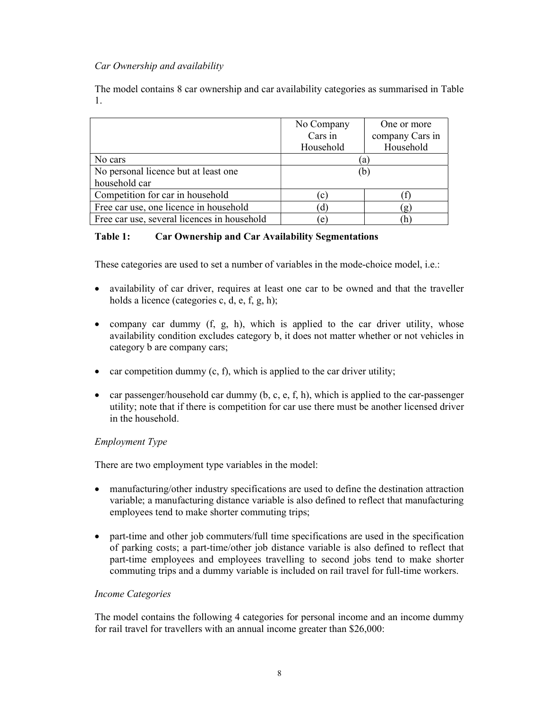## Car Ownership and availability

The model contains 8 car ownership and car availability categories as summarised in Table 1.

|                                             | No Company   | One or more     |
|---------------------------------------------|--------------|-----------------|
|                                             | Cars in      | company Cars in |
|                                             | Household    | Household       |
| No cars                                     | a            |                 |
| No personal licence but at least one        | (b)          |                 |
| household car                               |              |                 |
| Competition for car in household            | $\mathbf{c}$ |                 |
| Free car use, one licence in household      | d)           | $\mathbf{g}$    |
| Free car use, several licences in household | $\epsilon$   | h               |

## Table 1: Car Ownership and Car Availability Segmentations

These categories are used to set a number of variables in the mode-choice model, i.e.:

- availability of car driver, requires at least one car to be owned and that the traveller holds a licence (categories c, d, e, f, g, h);
- company car dummy  $(f, g, h)$ , which is applied to the car driver utility, whose availability condition excludes category b, it does not matter whether or not vehicles in category b are company cars;
- car competition dummy  $(c, f)$ , which is applied to the car driver utility;
- car passenger/household car dummy  $(b, c, e, f, h)$ , which is applied to the car-passenger utility; note that if there is competition for car use there must be another licensed driver in the household.

## Employment Type

There are two employment type variables in the model:

- manufacturing/other industry specifications are used to define the destination attraction variable; a manufacturing distance variable is also defined to reflect that manufacturing employees tend to make shorter commuting trips;
- part-time and other job commuters/full time specifications are used in the specification of parking costs; a part-time/other job distance variable is also defined to reflect that part-time employees and employees travelling to second jobs tend to make shorter commuting trips and a dummy variable is included on rail travel for full-time workers.

## Income Categories

The model contains the following 4 categories for personal income and an income dummy for rail travel for travellers with an annual income greater than \$26,000: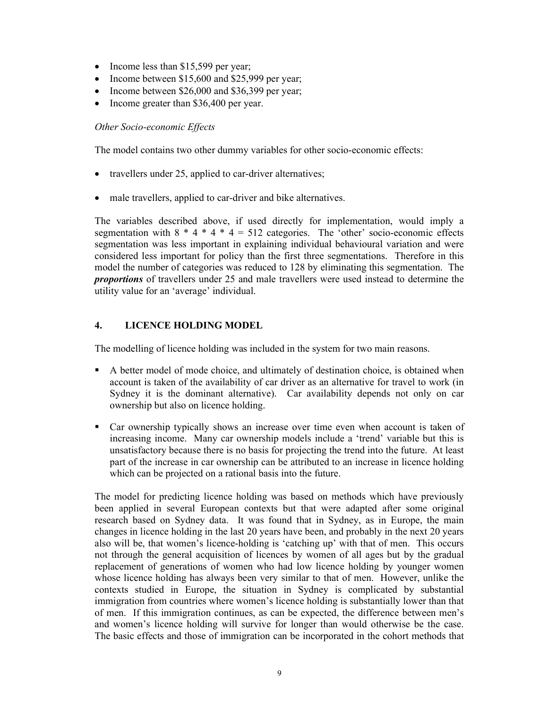- Income less than \$15,599 per year;
- Income between \$15,600 and \$25,999 per year;
- Income between  $$26,000$  and  $$36,399$  per year;
- Income greater than \$36,400 per year.

## Other Socio-economic Effects

The model contains two other dummy variables for other socio-economic effects:

- travellers under 25, applied to car-driver alternatives;
- male travellers, applied to car-driver and bike alternatives.

The variables described above, if used directly for implementation, would imply a segmentation with  $8 * 4 * 4 * 4 = 512$  categories. The 'other' socio-economic effects segmentation was less important in explaining individual behavioural variation and were considered less important for policy than the first three segmentations. Therefore in this model the number of categories was reduced to 128 by eliminating this segmentation. The proportions of travellers under 25 and male travellers were used instead to determine the utility value for an 'average' individual.

## 4. LICENCE HOLDING MODEL

The modelling of licence holding was included in the system for two main reasons.

- A better model of mode choice, and ultimately of destination choice, is obtained when account is taken of the availability of car driver as an alternative for travel to work (in Sydney it is the dominant alternative). Car availability depends not only on car ownership but also on licence holding.
- Car ownership typically shows an increase over time even when account is taken of increasing income. Many car ownership models include a 'trend' variable but this is unsatisfactory because there is no basis for projecting the trend into the future. At least part of the increase in car ownership can be attributed to an increase in licence holding which can be projected on a rational basis into the future.

The model for predicting licence holding was based on methods which have previously been applied in several European contexts but that were adapted after some original research based on Sydney data. It was found that in Sydney, as in Europe, the main changes in licence holding in the last 20 years have been, and probably in the next 20 years also will be, that women's licence-holding is 'catching up' with that of men. This occurs not through the general acquisition of licences by women of all ages but by the gradual replacement of generations of women who had low licence holding by younger women whose licence holding has always been very similar to that of men. However, unlike the contexts studied in Europe, the situation in Sydney is complicated by substantial immigration from countries where women's licence holding is substantially lower than that of men. If this immigration continues, as can be expected, the difference between men's and women's licence holding will survive for longer than would otherwise be the case. The basic effects and those of immigration can be incorporated in the cohort methods that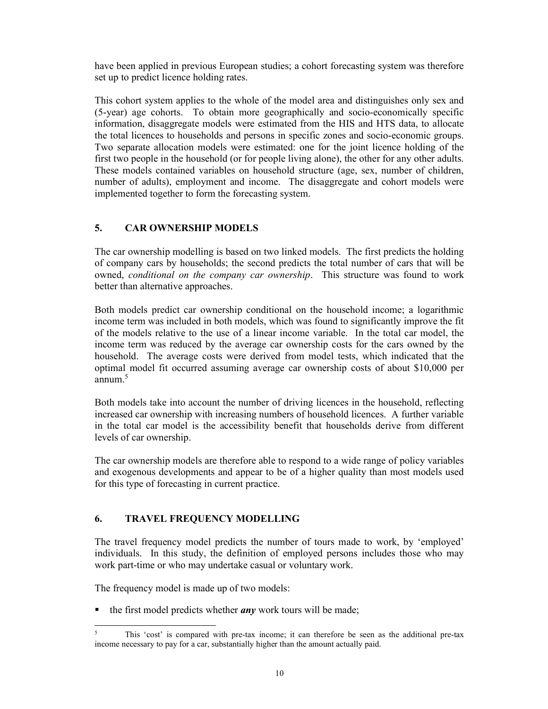have been applied in previous European studies; a cohort forecasting system was therefore set up to predict licence holding rates.

This cohort system applies to the whole of the model area and distinguishes only sex and (5-year) age cohorts. To obtain more geographically and socio-economically specific information, disaggregate models were estimated from the HIS and HTS data, to allocate the total licences to households and persons in specific zones and socio-economic groups. Two separate allocation models were estimated: one for the joint licence holding of the first two people in the household (or for people living alone), the other for any other adults. These models contained variables on household structure (age, sex, number of children, number of adults), employment and income. The disaggregate and cohort models were implemented together to form the forecasting system.

## 5. CAR OWNERSHIP MODELS

The car ownership modelling is based on two linked models. The first predicts the holding of company cars by households; the second predicts the total number of cars that will be owned, conditional on the company car ownership. This structure was found to work better than alternative approaches.

Both models predict car ownership conditional on the household income; a logarithmic income term was included in both models, which was found to significantly improve the fit of the models relative to the use of a linear income variable. In the total car model, the income term was reduced by the average car ownership costs for the cars owned by the household. The average costs were derived from model tests, which indicated that the optimal model fit occurred assuming average car ownership costs of about \$10,000 per annum.<sup>5</sup>

Both models take into account the number of driving licences in the household, reflecting increased car ownership with increasing numbers of household licences. A further variable in the total car model is the accessibility benefit that households derive from different levels of car ownership.

The car ownership models are therefore able to respond to a wide range of policy variables and exogenous developments and appear to be of a higher quality than most models used for this type of forecasting in current practice.

## 6. TRAVEL FREQUENCY MODELLING

The travel frequency model predicts the number of tours made to work, by 'employed' individuals. In this study, the definition of employed persons includes those who may work part-time or who may undertake casual or voluntary work.

The frequency model is made up of two models:

 $\blacksquare$  the first model predicts whether *any* work tours will be made;

<sup>5</sup> This 'cost' is compared with pre-tax income; it can therefore be seen as the additional pre-tax income necessary to pay for a car, substantially higher than the amount actually paid.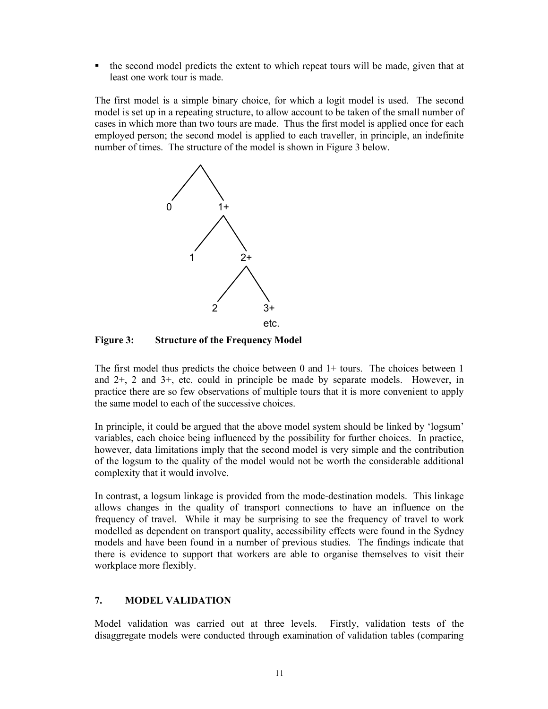$\blacksquare$  the second model predicts the extent to which repeat tours will be made, given that at least one work tour is made.

The first model is a simple binary choice, for which a logit model is used. The second model is set up in a repeating structure, to allow account to be taken of the small number of cases in which more than two tours are made. Thus the first model is applied once for each employed person; the second model is applied to each traveller, in principle, an indefinite number of times. The structure of the model is shown in Figure 3 below.



Figure 3: Structure of the Frequency Model

The first model thus predicts the choice between 0 and 1+ tours. The choices between 1 and 2+, 2 and 3+, etc. could in principle be made by separate models. However, in practice there are so few observations of multiple tours that it is more convenient to apply the same model to each of the successive choices.

In principle, it could be argued that the above model system should be linked by 'logsum' variables, each choice being influenced by the possibility for further choices. In practice, however, data limitations imply that the second model is very simple and the contribution of the logsum to the quality of the model would not be worth the considerable additional complexity that it would involve.

In contrast, a logsum linkage is provided from the mode-destination models. This linkage allows changes in the quality of transport connections to have an influence on the frequency of travel. While it may be surprising to see the frequency of travel to work modelled as dependent on transport quality, accessibility effects were found in the Sydney models and have been found in a number of previous studies. The findings indicate that there is evidence to support that workers are able to organise themselves to visit their workplace more flexibly.

## 7. MODEL VALIDATION

Model validation was carried out at three levels. Firstly, validation tests of the disaggregate models were conducted through examination of validation tables (comparing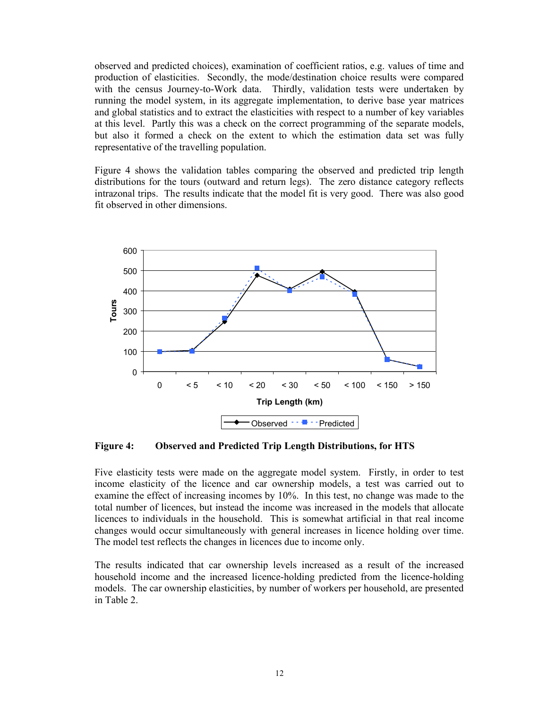observed and predicted choices), examination of coefficient ratios, e.g. values of time and production of elasticities. Secondly, the mode/destination choice results were compared with the census Journey-to-Work data. Thirdly, validation tests were undertaken by running the model system, in its aggregate implementation, to derive base year matrices and global statistics and to extract the elasticities with respect to a number of key variables at this level. Partly this was a check on the correct programming of the separate models, but also it formed a check on the extent to which the estimation data set was fully representative of the travelling population.

Figure 4 shows the validation tables comparing the observed and predicted trip length distributions for the tours (outward and return legs). The zero distance category reflects intrazonal trips. The results indicate that the model fit is very good. There was also good fit observed in other dimensions.



Figure 4: Observed and Predicted Trip Length Distributions, for HTS

Five elasticity tests were made on the aggregate model system. Firstly, in order to test income elasticity of the licence and car ownership models, a test was carried out to examine the effect of increasing incomes by 10%. In this test, no change was made to the total number of licences, but instead the income was increased in the models that allocate licences to individuals in the household. This is somewhat artificial in that real income changes would occur simultaneously with general increases in licence holding over time. The model test reflects the changes in licences due to income only.

The results indicated that car ownership levels increased as a result of the increased household income and the increased licence-holding predicted from the licence-holding models. The car ownership elasticities, by number of workers per household, are presented in Table 2.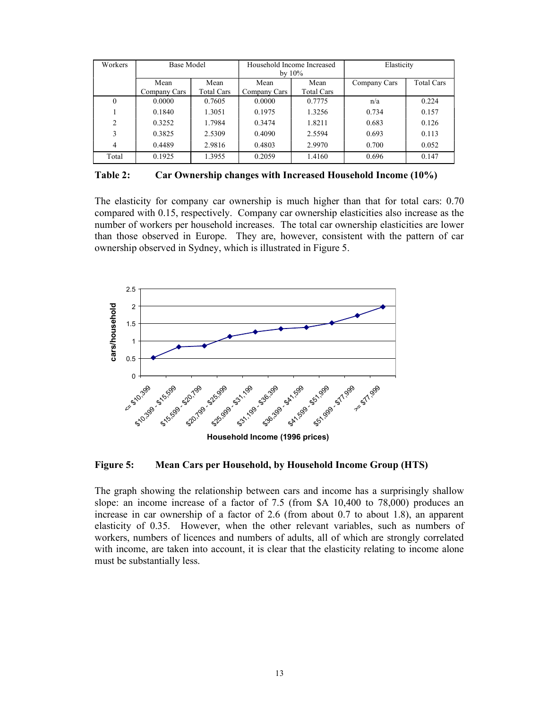| Workers  | <b>Base Model</b> |                   | Household Income Increased<br>by $10\%$ |                   | Elasticity   |                   |
|----------|-------------------|-------------------|-----------------------------------------|-------------------|--------------|-------------------|
|          | Mean              | Mean              | Mean                                    | Mean              | Company Cars | <b>Total Cars</b> |
|          | Company Cars      | <b>Total Cars</b> | Company Cars                            | <b>Total Cars</b> |              |                   |
| $\Omega$ | 0.0000            | 0.7605            | 0.0000                                  | 0.7775            | n/a          | 0.224             |
|          | 0.1840            | 1.3051            | 0.1975                                  | 1.3256            | 0.734        | 0.157             |
| 2        | 0.3252            | 1.7984            | 0.3474                                  | 1.8211            | 0.683        | 0.126             |
| 3        | 0.3825            | 2.5309            | 0.4090                                  | 2.5594            | 0.693        | 0.113             |
| 4        | 0.4489            | 2.9816            | 0.4803                                  | 2.9970            | 0.700        | 0.052             |
| Total    | 0.1925            | 1.3955            | 0.2059                                  | 1.4160            | 0.696        | 0.147             |

Table 2: Car Ownership changes with Increased Household Income (10%)

The elasticity for company car ownership is much higher than that for total cars: 0.70 compared with 0.15, respectively. Company car ownership elasticities also increase as the number of workers per household increases. The total car ownership elasticities are lower than those observed in Europe. They are, however, consistent with the pattern of car ownership observed in Sydney, which is illustrated in Figure 5.



Figure 5: Mean Cars per Household, by Household Income Group (HTS)

The graph showing the relationship between cars and income has a surprisingly shallow slope: an income increase of a factor of 7.5 (from \$A 10,400 to 78,000) produces an increase in car ownership of a factor of 2.6 (from about 0.7 to about 1.8), an apparent elasticity of 0.35. However, when the other relevant variables, such as numbers of workers, numbers of licences and numbers of adults, all of which are strongly correlated with income, are taken into account, it is clear that the elasticity relating to income alone must be substantially less.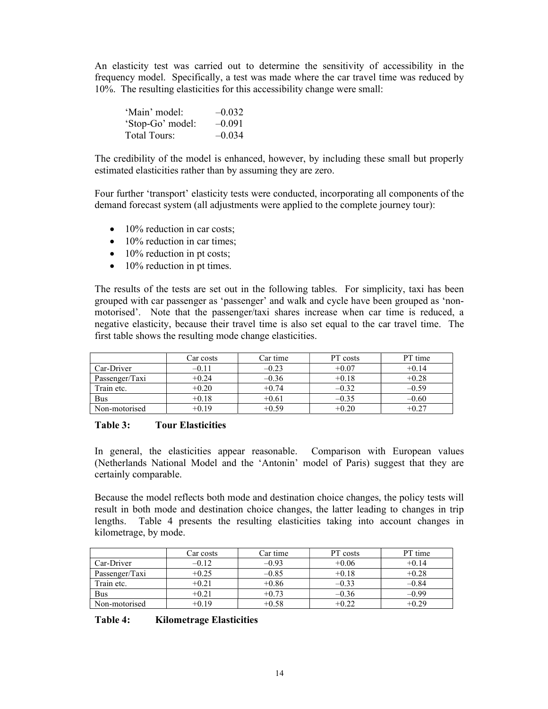An elasticity test was carried out to determine the sensitivity of accessibility in the frequency model. Specifically, a test was made where the car travel time was reduced by 10%. The resulting elasticities for this accessibility change were small:

| 'Main' model:    | $-0.032$ |
|------------------|----------|
| 'Stop-Go' model: | $-0.091$ |
| Total Tours:     | $-0.034$ |

The credibility of the model is enhanced, however, by including these small but properly estimated elasticities rather than by assuming they are zero.

Four further 'transport' elasticity tests were conducted, incorporating all components of the demand forecast system (all adjustments were applied to the complete journey tour):

- $\bullet$  10% reduction in car costs:
- $\bullet$  10% reduction in car times:
- $\bullet$  10% reduction in pt costs;
- $\bullet$  10% reduction in pt times.

The results of the tests are set out in the following tables. For simplicity, taxi has been grouped with car passenger as 'passenger' and walk and cycle have been grouped as 'nonmotorised'. Note that the passenger/taxi shares increase when car time is reduced, a negative elasticity, because their travel time is also set equal to the car travel time. The first table shows the resulting mode change elasticities.

|                | Car costs | Car time | PT costs | PT time |
|----------------|-----------|----------|----------|---------|
| Car-Driver     |           | $-0.23$  | $+0.07$  | $+0.14$ |
| Passenger/Taxi | $+0.24$   | $-0.36$  | $+0.18$  | $+0.28$ |
| Train etc.     | $+0.20$   | $+0.74$  | $-0.32$  | $-0.59$ |
| Bus            | $+0.18$   | $+0.61$  | $-0.35$  | $-0.60$ |
| Non-motorised  | $+0.19$   | $+0.59$  | $+0.20$  | +0.27   |

#### Table 3: Tour Elasticities

In general, the elasticities appear reasonable. Comparison with European values (Netherlands National Model and the 'Antonin' model of Paris) suggest that they are certainly comparable.

Because the model reflects both mode and destination choice changes, the policy tests will result in both mode and destination choice changes, the latter leading to changes in trip lengths. Table 4 presents the resulting elasticities taking into account changes in kilometrage, by mode.

|                | Car costs | Car time | PT costs | PT time |
|----------------|-----------|----------|----------|---------|
| Car-Driver     | –0.12     | $-0.93$  | $+0.06$  | $+0.14$ |
| Passenger/Taxi | $+0.25$   | $-0.85$  | $+0.18$  | $+0.28$ |
| Train etc.     | $+0.21$   | $+0.86$  | $-0.33$  | $-0.84$ |
| Bus            | +0.21     | $+0.73$  | $-0.36$  | $-0.99$ |
| Non-motorised  | +0.19     | $+0.58$  | $+0.22$  | $+0.29$ |

| Table 4: |  | <b>Kilometrage Elasticities</b> |
|----------|--|---------------------------------|
|----------|--|---------------------------------|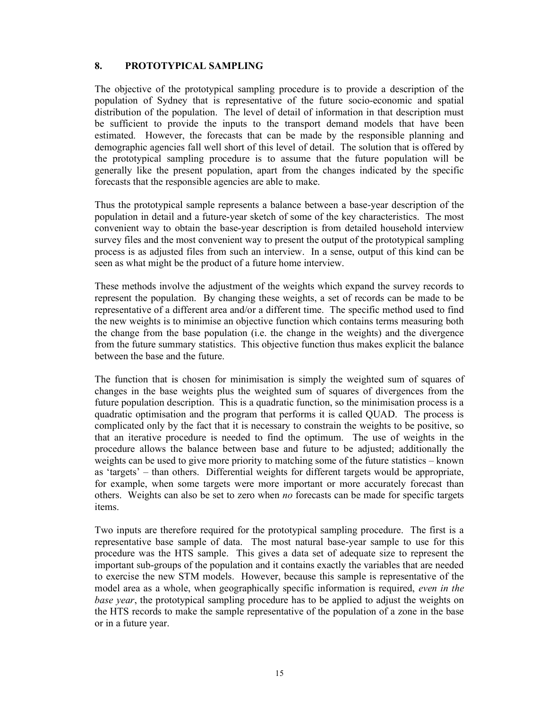## 8. PROTOTYPICAL SAMPLING

The objective of the prototypical sampling procedure is to provide a description of the population of Sydney that is representative of the future socio-economic and spatial distribution of the population. The level of detail of information in that description must be sufficient to provide the inputs to the transport demand models that have been estimated. However, the forecasts that can be made by the responsible planning and demographic agencies fall well short of this level of detail. The solution that is offered by the prototypical sampling procedure is to assume that the future population will be generally like the present population, apart from the changes indicated by the specific forecasts that the responsible agencies are able to make.

Thus the prototypical sample represents a balance between a base-year description of the population in detail and a future-year sketch of some of the key characteristics. The most convenient way to obtain the base-year description is from detailed household interview survey files and the most convenient way to present the output of the prototypical sampling process is as adjusted files from such an interview. In a sense, output of this kind can be seen as what might be the product of a future home interview.

These methods involve the adjustment of the weights which expand the survey records to represent the population. By changing these weights, a set of records can be made to be representative of a different area and/or a different time. The specific method used to find the new weights is to minimise an objective function which contains terms measuring both the change from the base population (i.e. the change in the weights) and the divergence from the future summary statistics. This objective function thus makes explicit the balance between the base and the future.

The function that is chosen for minimisation is simply the weighted sum of squares of changes in the base weights plus the weighted sum of squares of divergences from the future population description. This is a quadratic function, so the minimisation process is a quadratic optimisation and the program that performs it is called QUAD. The process is complicated only by the fact that it is necessary to constrain the weights to be positive, so that an iterative procedure is needed to find the optimum. The use of weights in the procedure allows the balance between base and future to be adjusted; additionally the weights can be used to give more priority to matching some of the future statistics – known as 'targets' – than others. Differential weights for different targets would be appropriate, for example, when some targets were more important or more accurately forecast than others. Weights can also be set to zero when no forecasts can be made for specific targets items.

Two inputs are therefore required for the prototypical sampling procedure. The first is a representative base sample of data. The most natural base-year sample to use for this procedure was the HTS sample. This gives a data set of adequate size to represent the important sub-groups of the population and it contains exactly the variables that are needed to exercise the new STM models. However, because this sample is representative of the model area as a whole, when geographically specific information is required, *even in the* base year, the prototypical sampling procedure has to be applied to adjust the weights on the HTS records to make the sample representative of the population of a zone in the base or in a future year.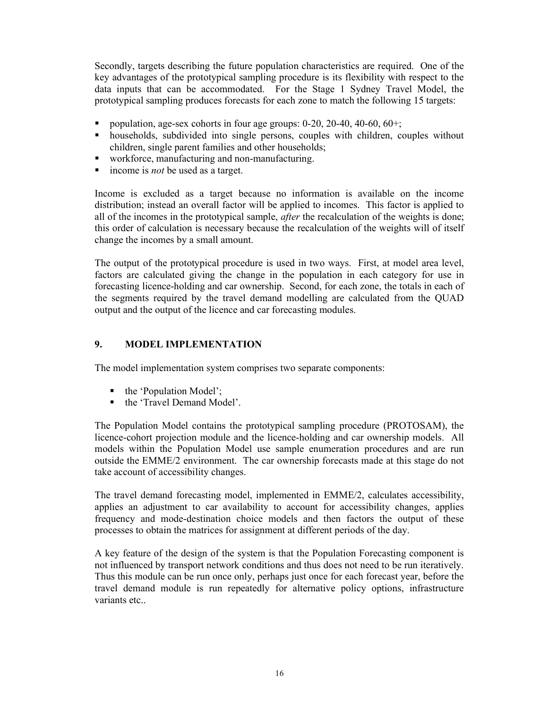Secondly, targets describing the future population characteristics are required. One of the key advantages of the prototypical sampling procedure is its flexibility with respect to the data inputs that can be accommodated. For the Stage 1 Sydney Travel Model, the prototypical sampling produces forecasts for each zone to match the following 15 targets:

- population, age-sex cohorts in four age groups: 0-20, 20-40, 40-60, 60+;
- households, subdivided into single persons, couples with children, couples without children, single parent families and other households;
- workforce, manufacturing and non-manufacturing.
- $\blacksquare$  income is *not* be used as a target.

Income is excluded as a target because no information is available on the income distribution; instead an overall factor will be applied to incomes. This factor is applied to all of the incomes in the prototypical sample, *after* the recalculation of the weights is done; this order of calculation is necessary because the recalculation of the weights will of itself change the incomes by a small amount.

The output of the prototypical procedure is used in two ways. First, at model area level, factors are calculated giving the change in the population in each category for use in forecasting licence-holding and car ownership. Second, for each zone, the totals in each of the segments required by the travel demand modelling are calculated from the QUAD output and the output of the licence and car forecasting modules.

## 9. MODEL IMPLEMENTATION

The model implementation system comprises two separate components:

- the 'Population Model';
- the 'Travel Demand Model'.

The Population Model contains the prototypical sampling procedure (PROTOSAM), the licence-cohort projection module and the licence-holding and car ownership models. All models within the Population Model use sample enumeration procedures and are run outside the EMME/2 environment. The car ownership forecasts made at this stage do not take account of accessibility changes.

The travel demand forecasting model, implemented in EMME/2, calculates accessibility, applies an adjustment to car availability to account for accessibility changes, applies frequency and mode-destination choice models and then factors the output of these processes to obtain the matrices for assignment at different periods of the day.

A key feature of the design of the system is that the Population Forecasting component is not influenced by transport network conditions and thus does not need to be run iteratively. Thus this module can be run once only, perhaps just once for each forecast year, before the travel demand module is run repeatedly for alternative policy options, infrastructure variants etc..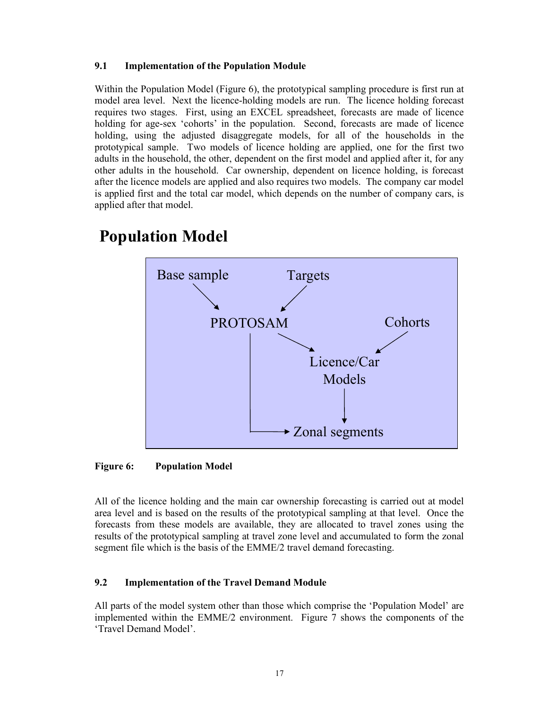## 9.1 Implementation of the Population Module

Within the Population Model (Figure 6), the prototypical sampling procedure is first run at model area level. Next the licence-holding models are run. The licence holding forecast requires two stages. First, using an EXCEL spreadsheet, forecasts are made of licence holding for age-sex 'cohorts' in the population. Second, forecasts are made of licence holding, using the adjusted disaggregate models, for all of the households in the prototypical sample. Two models of licence holding are applied, one for the first two adults in the household, the other, dependent on the first model and applied after it, for any other adults in the household. Car ownership, dependent on licence holding, is forecast after the licence models are applied and also requires two models. The company car model is applied first and the total car model, which depends on the number of company cars, is applied after that model.



# Population Model

Figure 6: Population Model

All of the licence holding and the main car ownership forecasting is carried out at model area level and is based on the results of the prototypical sampling at that level. Once the forecasts from these models are available, they are allocated to travel zones using the results of the prototypical sampling at travel zone level and accumulated to form the zonal segment file which is the basis of the EMME/2 travel demand forecasting.

## 9.2 Implementation of the Travel Demand Module

All parts of the model system other than those which comprise the 'Population Model' are implemented within the EMME/2 environment. Figure 7 shows the components of the 'Travel Demand Model'.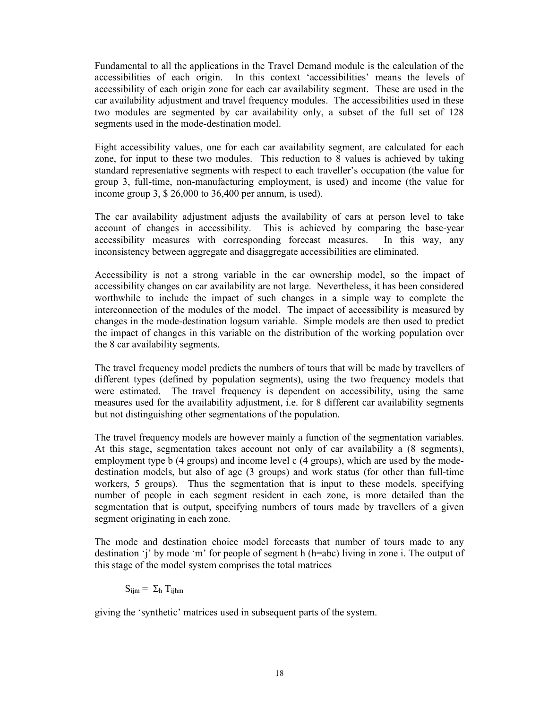Fundamental to all the applications in the Travel Demand module is the calculation of the accessibilities of each origin. In this context 'accessibilities' means the levels of accessibility of each origin zone for each car availability segment. These are used in the car availability adjustment and travel frequency modules. The accessibilities used in these two modules are segmented by car availability only, a subset of the full set of 128 segments used in the mode-destination model.

Eight accessibility values, one for each car availability segment, are calculated for each zone, for input to these two modules. This reduction to 8 values is achieved by taking standard representative segments with respect to each traveller's occupation (the value for group 3, full-time, non-manufacturing employment, is used) and income (the value for income group 3, \$ 26,000 to 36,400 per annum, is used).

The car availability adjustment adjusts the availability of cars at person level to take account of changes in accessibility. This is achieved by comparing the base-year accessibility measures with corresponding forecast measures. In this way, any inconsistency between aggregate and disaggregate accessibilities are eliminated.

Accessibility is not a strong variable in the car ownership model, so the impact of accessibility changes on car availability are not large. Nevertheless, it has been considered worthwhile to include the impact of such changes in a simple way to complete the interconnection of the modules of the model. The impact of accessibility is measured by changes in the mode-destination logsum variable. Simple models are then used to predict the impact of changes in this variable on the distribution of the working population over the 8 car availability segments.

The travel frequency model predicts the numbers of tours that will be made by travellers of different types (defined by population segments), using the two frequency models that were estimated. The travel frequency is dependent on accessibility, using the same measures used for the availability adjustment, i.e. for 8 different car availability segments but not distinguishing other segmentations of the population.

The travel frequency models are however mainly a function of the segmentation variables. At this stage, segmentation takes account not only of car availability a (8 segments), employment type b (4 groups) and income level c (4 groups), which are used by the modedestination models, but also of age (3 groups) and work status (for other than full-time workers, 5 groups). Thus the segmentation that is input to these models, specifying number of people in each segment resident in each zone, is more detailed than the segmentation that is output, specifying numbers of tours made by travellers of a given segment originating in each zone.

The mode and destination choice model forecasts that number of tours made to any destination 'j' by mode 'm' for people of segment h (h=abc) living in zone i. The output of this stage of the model system comprises the total matrices

 $S_{ijm} = \Sigma_h T_{ijhm}$ 

giving the 'synthetic' matrices used in subsequent parts of the system.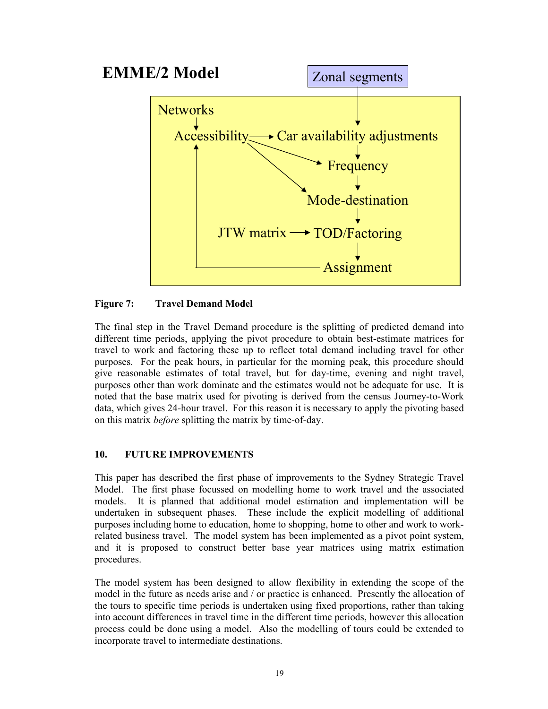

Figure 7: Travel Demand Model

The final step in the Travel Demand procedure is the splitting of predicted demand into different time periods, applying the pivot procedure to obtain best-estimate matrices for travel to work and factoring these up to reflect total demand including travel for other purposes. For the peak hours, in particular for the morning peak, this procedure should give reasonable estimates of total travel, but for day-time, evening and night travel, purposes other than work dominate and the estimates would not be adequate for use. It is noted that the base matrix used for pivoting is derived from the census Journey-to-Work data, which gives 24-hour travel. For this reason it is necessary to apply the pivoting based on this matrix before splitting the matrix by time-of-day.

## 10. FUTURE IMPROVEMENTS

This paper has described the first phase of improvements to the Sydney Strategic Travel Model. The first phase focussed on modelling home to work travel and the associated models. It is planned that additional model estimation and implementation will be undertaken in subsequent phases. These include the explicit modelling of additional purposes including home to education, home to shopping, home to other and work to workrelated business travel. The model system has been implemented as a pivot point system, and it is proposed to construct better base year matrices using matrix estimation procedures.

The model system has been designed to allow flexibility in extending the scope of the model in the future as needs arise and / or practice is enhanced. Presently the allocation of the tours to specific time periods is undertaken using fixed proportions, rather than taking into account differences in travel time in the different time periods, however this allocation process could be done using a model. Also the modelling of tours could be extended to incorporate travel to intermediate destinations.